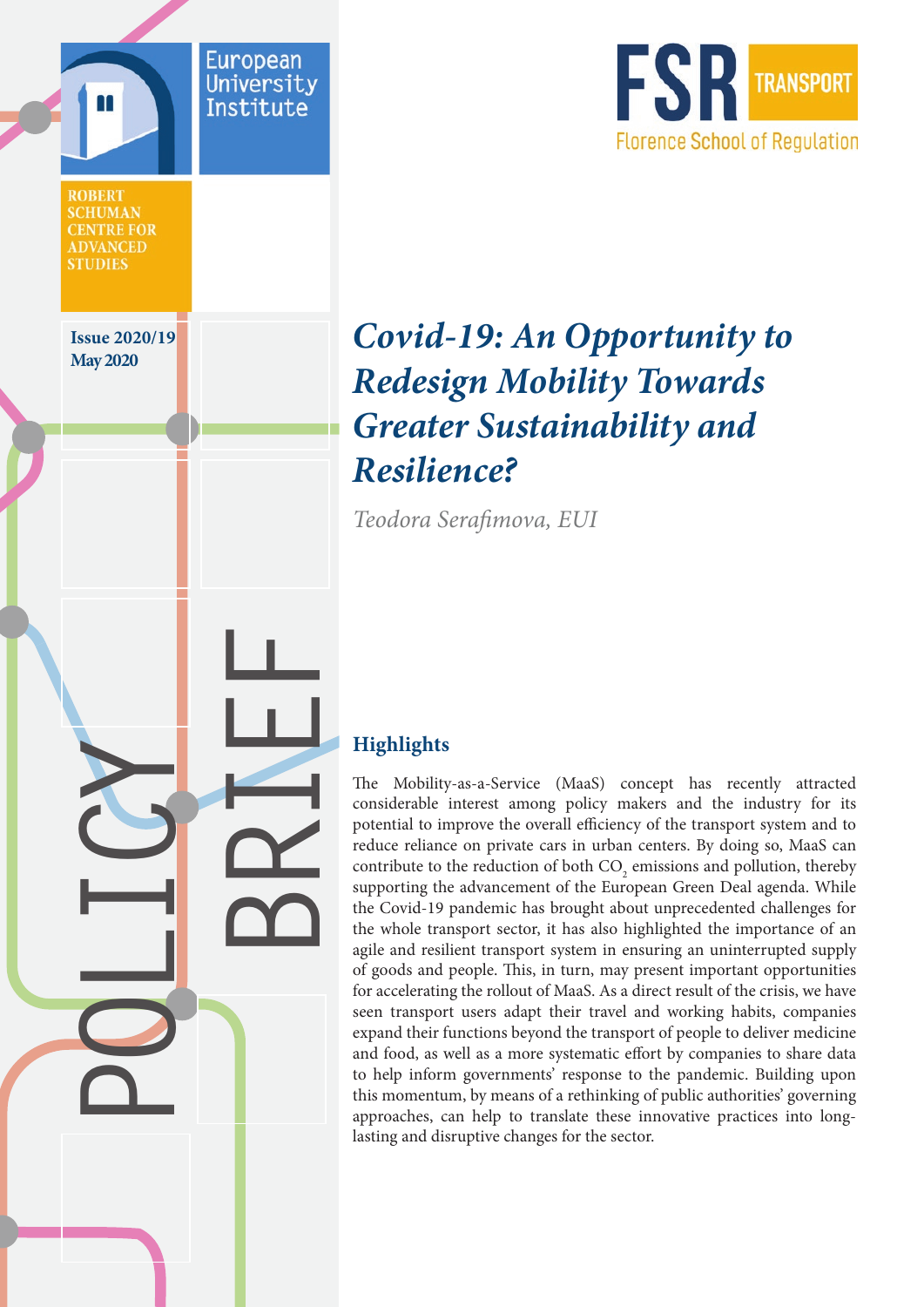

# **May 2020** *Covid-19: An Opportunity to Redesign Mobility Towards Greater Sustainability and Resilience?*

*Teodora Serafimova, EUI*

## **Highlights**

**BRIEF**

European

**Universit** Institute

**POLICY**

**Issue 2020/19** 

**ROBERT SCHUMAN CENTRE FOR ADVANCED STUDIES** 

> The Mobility-as-a-Service (MaaS) concept has recently attracted considerable interest among policy makers and the industry for its potential to improve the overall efficiency of the transport system and to reduce reliance on private cars in urban centers. By doing so, MaaS can contribute to the reduction of both  $\text{CO}_2$  emissions and pollution, thereby supporting the advancement of the European Green Deal agenda. While the Covid-19 pandemic has brought about unprecedented challenges for the whole transport sector, it has also highlighted the importance of an agile and resilient transport system in ensuring an uninterrupted supply of goods and people. This, in turn, may present important opportunities for accelerating the rollout of MaaS. As a direct result of the crisis, we have seen transport users adapt their travel and working habits, companies expand their functions beyond the transport of people to deliver medicine and food, as well as a more systematic effort by companies to share data to help inform governments' response to the pandemic. Building upon this momentum, by means of a rethinking of public authorities' governing approaches, can help to translate these innovative practices into longlasting and disruptive changes for the sector.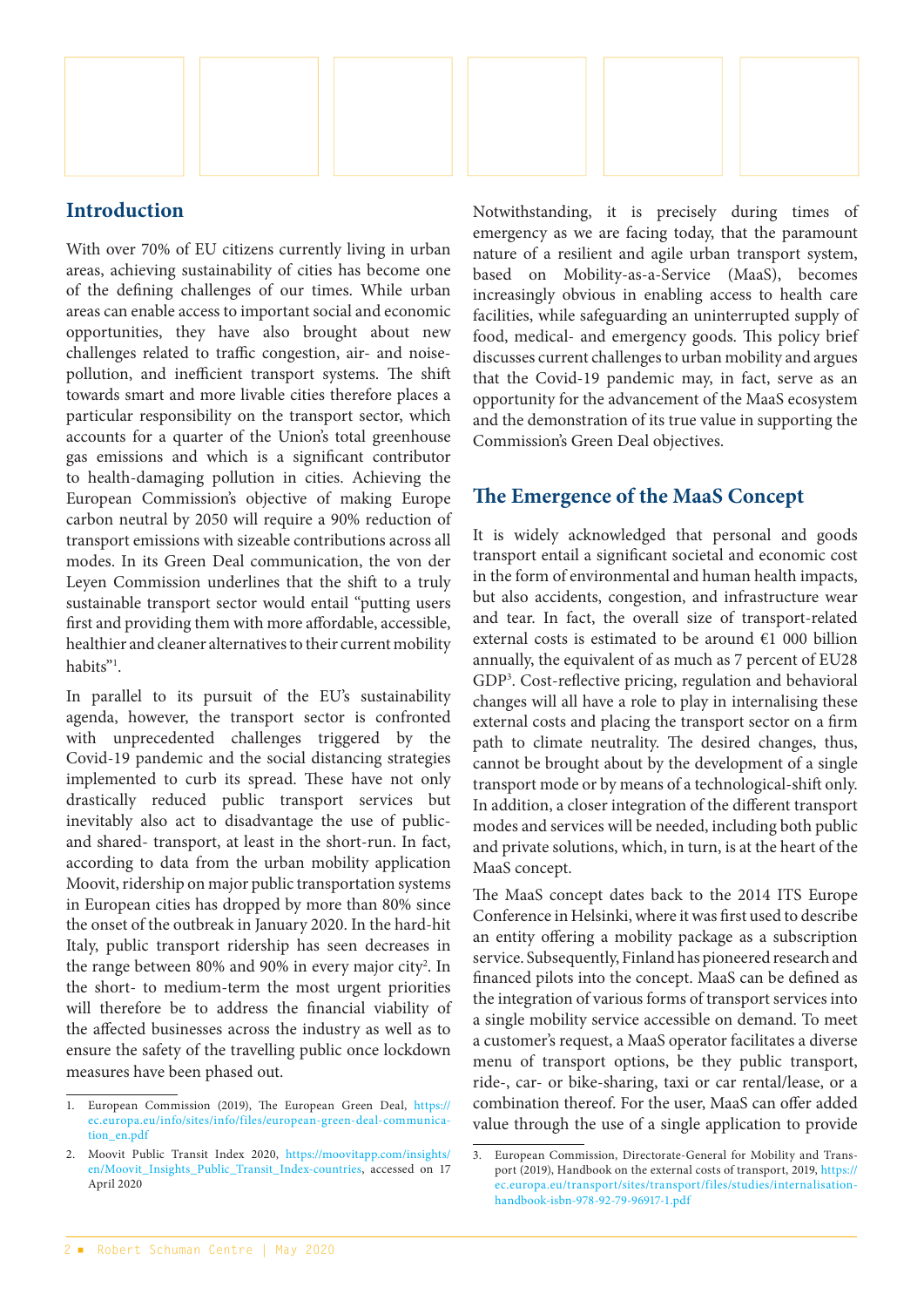

#### **Introduction**

With over 70% of EU citizens currently living in urban areas, achieving sustainability of cities has become one of the defining challenges of our times. While urban areas can enable access to important social and economic opportunities, they have also brought about new challenges related to traffic congestion, air- and noisepollution, and inefficient transport systems. The shift towards smart and more livable cities therefore places a particular responsibility on the transport sector, which accounts for a quarter of the Union's total greenhouse gas emissions and which is a significant contributor to health-damaging pollution in cities. Achieving the European Commission's objective of making Europe carbon neutral by 2050 will require a 90% reduction of transport emissions with sizeable contributions across all modes. In its Green Deal communication, the von der Leyen Commission underlines that the shift to a truly sustainable transport sector would entail "putting users first and providing them with more affordable, accessible, healthier and cleaner alternatives to their current mobility habits"<sup>1</sup>.

In parallel to its pursuit of the EU's sustainability agenda, however, the transport sector is confronted with unprecedented challenges triggered by the Covid-19 pandemic and the social distancing strategies implemented to curb its spread. These have not only drastically reduced public transport services but inevitably also act to disadvantage the use of publicand shared- transport, at least in the short-run. In fact, according to data from the urban mobility application Moovit, ridership on major public transportation systems in European cities has dropped by more than 80% since the onset of the outbreak in January 2020. In the hard-hit Italy, public transport ridership has seen decreases in the range between 80% and 90% in every major city<sup>2</sup>. In the short- to medium-term the most urgent priorities will therefore be to address the financial viability of the affected businesses across the industry as well as to ensure the safety of the travelling public once lockdown measures have been phased out.

Notwithstanding, it is precisely during times of emergency as we are facing today, that the paramount nature of a resilient and agile urban transport system, based on Mobility-as-a-Service (MaaS), becomes increasingly obvious in enabling access to health care facilities, while safeguarding an uninterrupted supply of food, medical- and emergency goods. This policy brief discusses current challenges to urban mobility and argues that the Covid-19 pandemic may, in fact, serve as an opportunity for the advancement of the MaaS ecosystem and the demonstration of its true value in supporting the Commission's Green Deal objectives.

#### **The Emergence of the MaaS Concept**

It is widely acknowledged that personal and goods transport entail a significant societal and economic cost in the form of environmental and human health impacts, but also accidents, congestion, and infrastructure wear and tear. In fact, the overall size of transport-related external costs is estimated to be around €1 000 billion annually, the equivalent of as much as 7 percent of EU28 GDP3 . Cost-reflective pricing, regulation and behavioral changes will all have a role to play in internalising these external costs and placing the transport sector on a firm path to climate neutrality. The desired changes, thus, cannot be brought about by the development of a single transport mode or by means of a technological-shift only. In addition, a closer integration of the different transport modes and services will be needed, including both public and private solutions, which, in turn, is at the heart of the MaaS concept.

The MaaS concept dates back to the 2014 ITS Europe Conference in Helsinki, where it was first used to describe an entity offering a mobility package as a subscription service. Subsequently, Finland has pioneered research and financed pilots into the concept. MaaS can be defined as the integration of various forms of transport services into a single mobility service accessible on demand. To meet a customer's request, a MaaS operator facilitates a diverse menu of transport options, be they public transport, ride-, car- or bike-sharing, taxi or car rental/lease, or a combination thereof. For the user, MaaS can offer added value through the use of a single application to provide

<sup>1.</sup> European Commission (2019), The European Green Deal, [https://](https://ec.europa.eu/info/sites/info/files/european-green-deal-communication_en.pdf) [ec.europa.eu/info/sites/info/files/european-green-deal-communica](https://ec.europa.eu/info/sites/info/files/european-green-deal-communication_en.pdf)[tion\\_en.pdf](https://ec.europa.eu/info/sites/info/files/european-green-deal-communication_en.pdf)

<sup>2.</sup> Moovit Public Transit Index 2020, [https://moovitapp.com/insights/](https://moovitapp.com/insights/en/Moovit_Insights_Public_Transit_Index-countries) [en/Moovit\\_Insights\\_Public\\_Transit\\_Index-countries](https://moovitapp.com/insights/en/Moovit_Insights_Public_Transit_Index-countries), accessed on 17 April 2020

<sup>3.</sup> European Commission, Directorate-General for Mobility and Transport (2019), Handbook on the external costs of transport, 2019, [https://](https://ec.europa.eu/transport/sites/transport/files/studies/internalisation-handbook-isbn-978-92-79-96917-1.pdf) [ec.europa.eu/transport/sites/transport/files/studies/internalisation](https://ec.europa.eu/transport/sites/transport/files/studies/internalisation-handbook-isbn-978-92-79-96917-1.pdf)[handbook-isbn-978-92-79-96917-1.pdf](https://ec.europa.eu/transport/sites/transport/files/studies/internalisation-handbook-isbn-978-92-79-96917-1.pdf)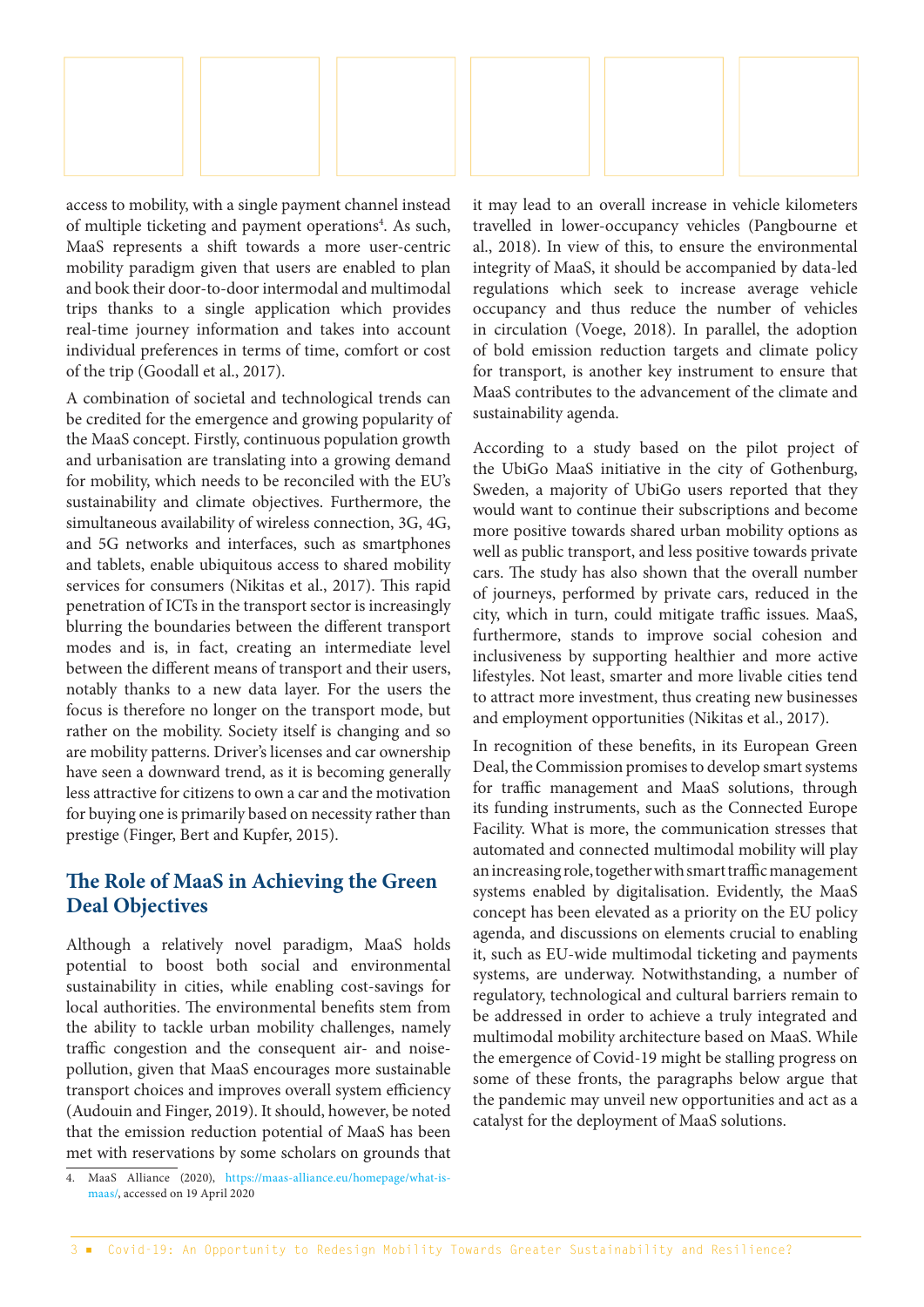

access to mobility, with a single payment channel instead of multiple ticketing and payment operations<sup>4</sup>. As such, MaaS represents a shift towards a more user-centric mobility paradigm given that users are enabled to plan and book their door-to-door intermodal and multimodal trips thanks to a single application which provides real-time journey information and takes into account individual preferences in terms of time, comfort or cost of the trip (Goodall et al., 2017).

A combination of societal and technological trends can be credited for the emergence and growing popularity of the MaaS concept. Firstly, continuous population growth and urbanisation are translating into a growing demand for mobility, which needs to be reconciled with the EU's sustainability and climate objectives. Furthermore, the simultaneous availability of wireless connection, 3G, 4G, and 5G networks and interfaces, such as smartphones and tablets, enable ubiquitous access to shared mobility services for consumers (Nikitas et al., 2017). This rapid penetration of ICTs in the transport sector is increasingly blurring the boundaries between the different transport modes and is, in fact, creating an intermediate level between the different means of transport and their users, notably thanks to a new data layer. For the users the focus is therefore no longer on the transport mode, but rather on the mobility. Society itself is changing and so are mobility patterns. Driver's licenses and car ownership have seen a downward trend, as it is becoming generally less attractive for citizens to own a car and the motivation for buying one is primarily based on necessity rather than prestige (Finger, Bert and Kupfer, 2015).

#### **The Role of MaaS in Achieving the Green Deal Objectives**

Although a relatively novel paradigm, MaaS holds potential to boost both social and environmental sustainability in cities, while enabling cost-savings for local authorities. The environmental benefits stem from the ability to tackle urban mobility challenges, namely traffic congestion and the consequent air- and noisepollution, given that MaaS encourages more sustainable transport choices and improves overall system efficiency (Audouin and Finger, 2019). It should, however, be noted that the emission reduction potential of MaaS has been met with reservations by some scholars on grounds that

it may lead to an overall increase in vehicle kilometers travelled in lower-occupancy vehicles (Pangbourne et al., 2018). In view of this, to ensure the environmental integrity of MaaS, it should be accompanied by data-led regulations which seek to increase average vehicle occupancy and thus reduce the number of vehicles in circulation (Voege, 2018). In parallel, the adoption of bold emission reduction targets and climate policy for transport, is another key instrument to ensure that MaaS contributes to the advancement of the climate and sustainability agenda.

According to a study based on the pilot project of the UbiGo MaaS initiative in the city of Gothenburg, Sweden, a majority of UbiGo users reported that they would want to continue their subscriptions and become more positive towards shared urban mobility options as well as public transport, and less positive towards private cars. The study has also shown that the overall number of journeys, performed by private cars, reduced in the city, which in turn, could mitigate traffic issues. MaaS, furthermore, stands to improve social cohesion and inclusiveness by supporting healthier and more active lifestyles. Not least, smarter and more livable cities tend to attract more investment, thus creating new businesses and employment opportunities (Nikitas et al., 2017).

In recognition of these benefits, in its European Green Deal, the Commission promises to develop smart systems for traffic management and MaaS solutions, through its funding instruments, such as the Connected Europe Facility. What is more, the communication stresses that automated and connected multimodal mobility will play an increasing role, together with smart traffic management systems enabled by digitalisation. Evidently, the MaaS concept has been elevated as a priority on the EU policy agenda, and discussions on elements crucial to enabling it, such as EU-wide multimodal ticketing and payments systems, are underway. Notwithstanding, a number of regulatory, technological and cultural barriers remain to be addressed in order to achieve a truly integrated and multimodal mobility architecture based on MaaS. While the emergence of Covid-19 might be stalling progress on some of these fronts, the paragraphs below argue that the pandemic may unveil new opportunities and act as a catalyst for the deployment of MaaS solutions.

<sup>4.</sup> MaaS Alliance (2020), [https://maas-alliance.eu/homepage/what-is](https://maas-alliance.eu/homepage/what-is-maas/)[maas/,](https://maas-alliance.eu/homepage/what-is-maas/) accessed on 19 April 2020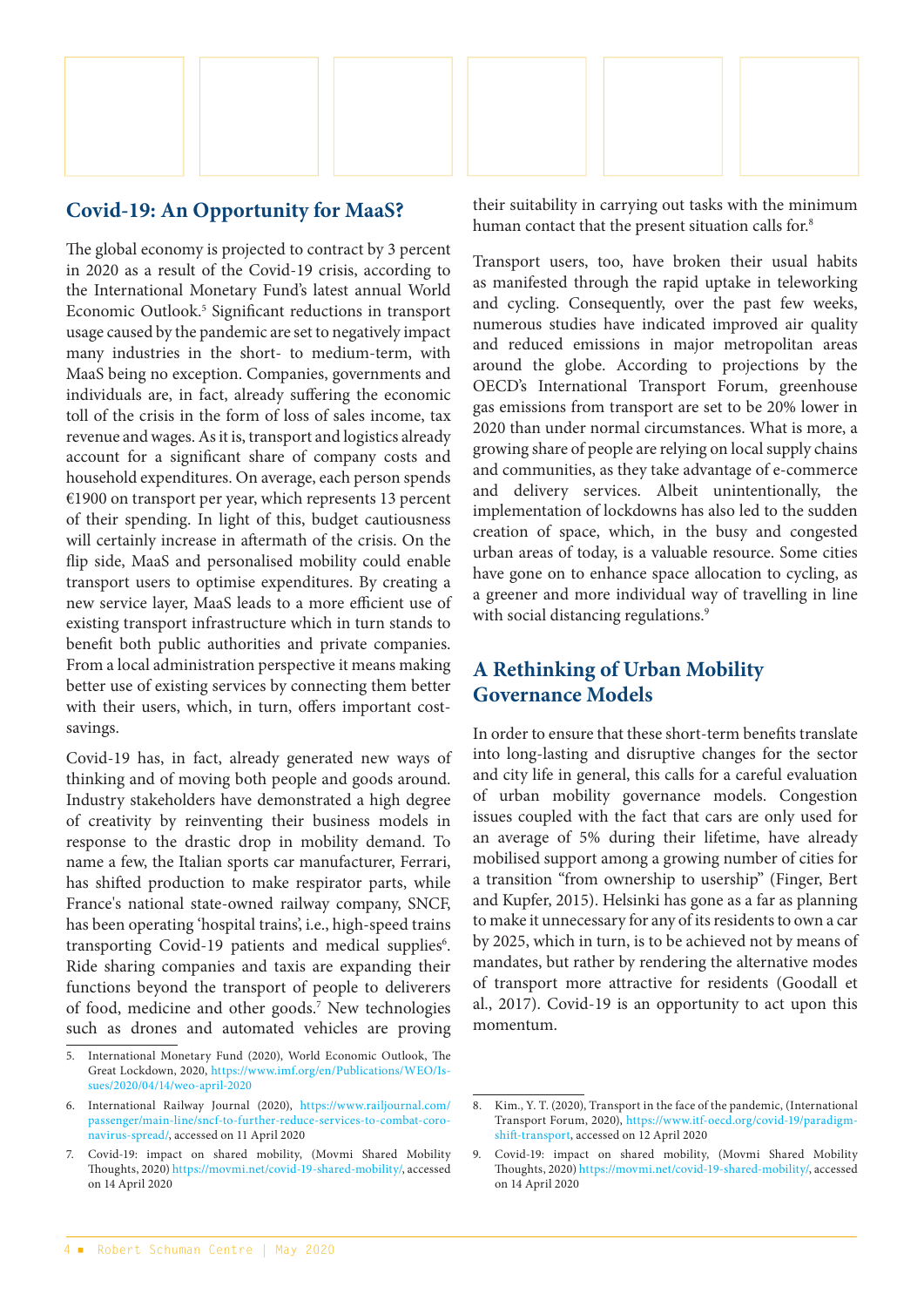

#### **Covid-19: An Opportunity for MaaS?**

The global economy is projected to contract by 3 percent in 2020 as a result of the Covid-19 crisis, according to the International Monetary Fund's latest annual World Economic Outlook.<sup>5</sup> Significant reductions in transport usage caused by the pandemic are set to negatively impact many industries in the short- to medium-term, with MaaS being no exception. Companies, governments and individuals are, in fact, already suffering the economic toll of the crisis in the form of loss of sales income, tax revenue and wages. As it is, transport and logistics already account for a significant share of company costs and household expenditures. On average, each person spends €1900 on transport per year, which represents 13 percent of their spending. In light of this, budget cautiousness will certainly increase in aftermath of the crisis. On the flip side, MaaS and personalised mobility could enable transport users to optimise expenditures. By creating a new service layer, MaaS leads to a more efficient use of existing transport infrastructure which in turn stands to benefit both public authorities and private companies. From a local administration perspective it means making better use of existing services by connecting them better with their users, which, in turn, offers important costsavings.

Covid-19 has, in fact, already generated new ways of thinking and of moving both people and goods around. Industry stakeholders have demonstrated a high degree of creativity by reinventing their business models in response to the drastic drop in mobility demand. To name a few, the Italian sports car manufacturer, Ferrari, has shifted production to make respirator parts, while France's national state-owned railway company, SNCF, has been operating 'hospital trains', i.e., high-speed trains transporting Covid-19 patients and medical supplies<sup>6</sup>. Ride sharing companies and taxis are expanding their functions beyond the transport of people to deliverers of food, medicine and other goods.<sup>7</sup> New technologies such as drones and automated vehicles are proving

their suitability in carrying out tasks with the minimum human contact that the present situation calls for.<sup>8</sup>

Transport users, too, have broken their usual habits as manifested through the rapid uptake in teleworking and cycling. Consequently, over the past few weeks, numerous studies have indicated improved air quality and reduced emissions in major metropolitan areas around the globe. According to projections by the OECD's International Transport Forum, greenhouse gas emissions from transport are set to be 20% lower in 2020 than under normal circumstances. What is more, a growing share of people are relying on local supply chains and communities, as they take advantage of e-commerce and delivery services. Albeit unintentionally, the implementation of lockdowns has also led to the sudden creation of space, which, in the busy and congested urban areas of today, is a valuable resource. Some cities have gone on to enhance space allocation to cycling, as a greener and more individual way of travelling in line with social distancing regulations.<sup>9</sup>

## **A Rethinking of Urban Mobility Governance Models**

In order to ensure that these short-term benefits translate into long-lasting and disruptive changes for the sector and city life in general, this calls for a careful evaluation of urban mobility governance models. Congestion issues coupled with the fact that cars are only used for an average of 5% during their lifetime, have already mobilised support among a growing number of cities for a transition "from ownership to usership" (Finger, Bert and Kupfer, 2015). Helsinki has gone as a far as planning to make it unnecessary for any of its residents to own a car by 2025, which in turn, is to be achieved not by means of mandates, but rather by rendering the alternative modes of transport more attractive for residents (Goodall et al., 2017). Covid-19 is an opportunity to act upon this momentum.

<sup>5.</sup> International Monetary Fund (2020), World Economic Outlook, The Great Lockdown, 2020, [https://www.imf.org/en/Publications/WEO/Is](https://www.imf.org/en/Publications/WEO/Issues/2020/04/14/weo-april-2020)[sues/2020/04/14/weo-april-2020](https://www.imf.org/en/Publications/WEO/Issues/2020/04/14/weo-april-2020)

<sup>6.</sup> International Railway Journal (2020), [https://www.railjournal.com/](https://www.railjournal.com/passenger/main-line/sncf-to-further-reduce-services-to-combat-coronavirus-spread/) [passenger/main-line/sncf-to-further-reduce-services-to-combat-coro](https://www.railjournal.com/passenger/main-line/sncf-to-further-reduce-services-to-combat-coronavirus-spread/)[navirus-spread/,](https://www.railjournal.com/passenger/main-line/sncf-to-further-reduce-services-to-combat-coronavirus-spread/) accessed on 11 April 2020

<sup>7.</sup> Covid-19: impact on shared mobility, (Movmi Shared Mobility Thoughts, 2020)<https://movmi.net/covid-19-shared-mobility/>, accessed on 14 April 2020

<sup>8.</sup> Kim., Y. T. (2020), Transport in the face of the pandemic, (International Transport Forum, 2020), [https://www.itf-oecd.org/covid-19/paradigm](https://www.itf-oecd.org/covid-19/paradigm-shift-transport)[shift-transport,](https://www.itf-oecd.org/covid-19/paradigm-shift-transport) accessed on 12 April 2020

<sup>9.</sup> Covid-19: impact on shared mobility, (Movmi Shared Mobility Thoughts, 2020)<https://movmi.net/covid-19-shared-mobility/>, accessed on 14 April 2020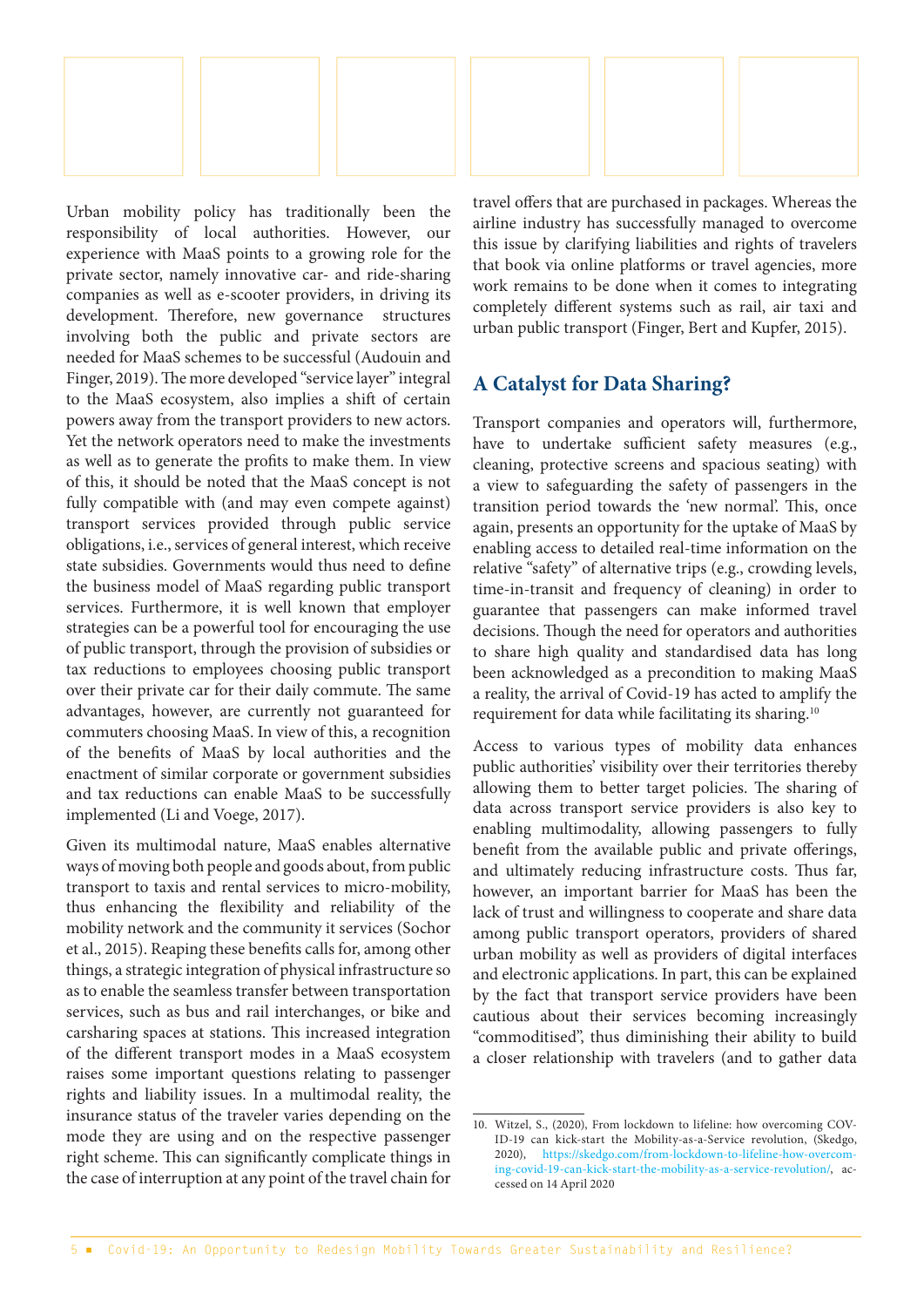Urban mobility policy has traditionally been the responsibility of local authorities. However, our experience with MaaS points to a growing role for the private sector, namely innovative car- and ride-sharing companies as well as e-scooter providers, in driving its development. Therefore, new governance structures involving both the public and private sectors are needed for MaaS schemes to be successful (Audouin and Finger, 2019). The more developed "service layer" integral to the MaaS ecosystem, also implies a shift of certain powers away from the transport providers to new actors. Yet the network operators need to make the investments as well as to generate the profits to make them. In view of this, it should be noted that the MaaS concept is not fully compatible with (and may even compete against) transport services provided through public service obligations, i.e., services of general interest, which receive state subsidies. Governments would thus need to define the business model of MaaS regarding public transport services. Furthermore, it is well known that employer strategies can be a powerful tool for encouraging the use of public transport, through the provision of subsidies or tax reductions to employees choosing public transport over their private car for their daily commute. The same advantages, however, are currently not guaranteed for commuters choosing MaaS. In view of this, a recognition of the benefits of MaaS by local authorities and the enactment of similar corporate or government subsidies and tax reductions can enable MaaS to be successfully implemented (Li and Voege, 2017).

Given its multimodal nature, MaaS enables alternative ways of moving both people and goods about, from public transport to taxis and rental services to micro-mobility, thus enhancing the flexibility and reliability of the mobility network and the community it services (Sochor et al., 2015). Reaping these benefits calls for, among other things, a strategic integration of physical infrastructure so as to enable the seamless transfer between transportation services, such as bus and rail interchanges, or bike and carsharing spaces at stations. This increased integration of the different transport modes in a MaaS ecosystem raises some important questions relating to passenger rights and liability issues. In a multimodal reality, the insurance status of the traveler varies depending on the mode they are using and on the respective passenger right scheme. This can significantly complicate things in the case of interruption at any point of the travel chain for

travel offers that are purchased in packages. Whereas the airline industry has successfully managed to overcome this issue by clarifying liabilities and rights of travelers that book via online platforms or travel agencies, more work remains to be done when it comes to integrating completely different systems such as rail, air taxi and urban public transport (Finger, Bert and Kupfer, 2015).

## **A Catalyst for Data Sharing?**

Transport companies and operators will, furthermore, have to undertake sufficient safety measures (e.g., cleaning, protective screens and spacious seating) with a view to safeguarding the safety of passengers in the transition period towards the 'new normal'. This, once again, presents an opportunity for the uptake of MaaS by enabling access to detailed real-time information on the relative "safety" of alternative trips (e.g., crowding levels, time-in-transit and frequency of cleaning) in order to guarantee that passengers can make informed travel decisions. Though the need for operators and authorities to share high quality and standardised data has long been acknowledged as a precondition to making MaaS a reality, the arrival of Covid-19 has acted to amplify the requirement for data while facilitating its sharing.<sup>10</sup>

Access to various types of mobility data enhances public authorities' visibility over their territories thereby allowing them to better target policies. The sharing of data across transport service providers is also key to enabling multimodality, allowing passengers to fully benefit from the available public and private offerings, and ultimately reducing infrastructure costs. Thus far, however, an important barrier for MaaS has been the lack of trust and willingness to cooperate and share data among public transport operators, providers of shared urban mobility as well as providers of digital interfaces and electronic applications. In part, this can be explained by the fact that transport service providers have been cautious about their services becoming increasingly "commoditised", thus diminishing their ability to build a closer relationship with travelers (and to gather data

<sup>10.</sup> Witzel, S., (2020), From lockdown to lifeline: how overcoming COV-ID-19 can kick-start the Mobility-as-a-Service revolution, (Skedgo, 2020), [https://skedgo.com/from-lockdown-to-lifeline-how-overcom](https://skedgo.com/from-lockdown-to-lifeline-how-overcoming-covid-19-can-kick-start-the-mobility-as-a-service-revolution/)[ing-covid-19-can-kick-start-the-mobility-as-a-service-revolution/](https://skedgo.com/from-lockdown-to-lifeline-how-overcoming-covid-19-can-kick-start-the-mobility-as-a-service-revolution/), accessed on 14 April 2020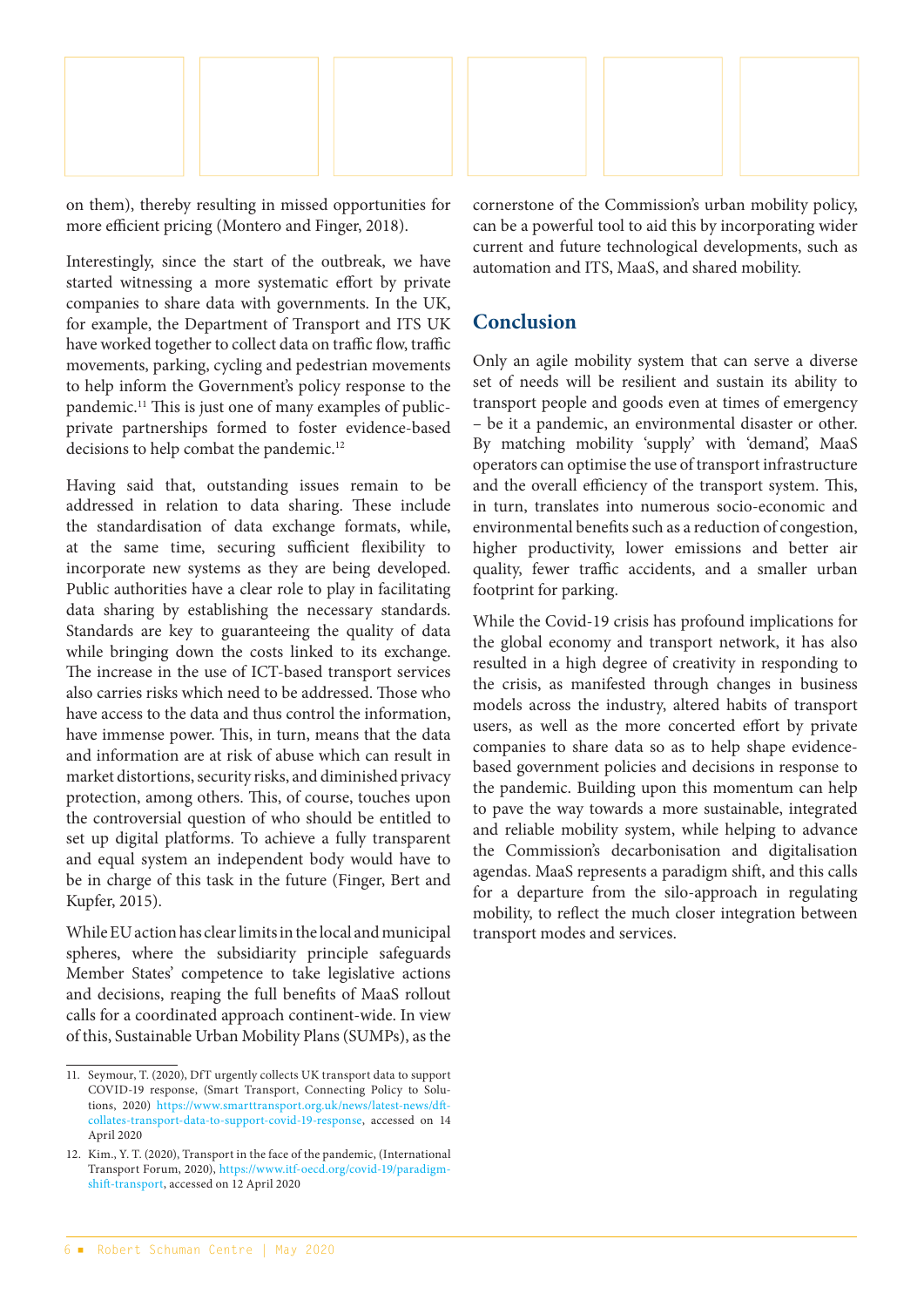

on them), thereby resulting in missed opportunities for more efficient pricing (Montero and Finger, 2018).

Interestingly, since the start of the outbreak, we have started witnessing a more systematic effort by private companies to share data with governments. In the UK, for example, the Department of Transport and ITS UK have worked together to collect data on traffic flow, traffic movements, parking, cycling and pedestrian movements to help inform the Government's policy response to the pandemic.11 This is just one of many examples of publicprivate partnerships formed to foster evidence-based decisions to help combat the pandemic.<sup>12</sup>

Having said that, outstanding issues remain to be addressed in relation to data sharing. These include the standardisation of data exchange formats, while, at the same time, securing sufficient flexibility to incorporate new systems as they are being developed. Public authorities have a clear role to play in facilitating data sharing by establishing the necessary standards. Standards are key to guaranteeing the quality of data while bringing down the costs linked to its exchange. The increase in the use of ICT-based transport services also carries risks which need to be addressed. Those who have access to the data and thus control the information, have immense power. This, in turn, means that the data and information are at risk of abuse which can result in market distortions, security risks, and diminished privacy protection, among others. This, of course, touches upon the controversial question of who should be entitled to set up digital platforms. To achieve a fully transparent and equal system an independent body would have to be in charge of this task in the future (Finger, Bert and Kupfer, 2015).

While EU action has clear limits in the local and municipal spheres, where the subsidiarity principle safeguards Member States' competence to take legislative actions and decisions, reaping the full benefits of MaaS rollout calls for a coordinated approach continent-wide. In view of this, Sustainable Urban Mobility Plans (SUMPs), as the cornerstone of the Commission's urban mobility policy, can be a powerful tool to aid this by incorporating wider current and future technological developments, such as automation and ITS, MaaS, and shared mobility.

## **Conclusion**

Only an agile mobility system that can serve a diverse set of needs will be resilient and sustain its ability to transport people and goods even at times of emergency – be it a pandemic, an environmental disaster or other. By matching mobility 'supply' with 'demand', MaaS operators can optimise the use of transport infrastructure and the overall efficiency of the transport system. This, in turn, translates into numerous socio-economic and environmental benefits such as a reduction of congestion, higher productivity, lower emissions and better air quality, fewer traffic accidents, and a smaller urban footprint for parking.

While the Covid-19 crisis has profound implications for the global economy and transport network, it has also resulted in a high degree of creativity in responding to the crisis, as manifested through changes in business models across the industry, altered habits of transport users, as well as the more concerted effort by private companies to share data so as to help shape evidencebased government policies and decisions in response to the pandemic. Building upon this momentum can help to pave the way towards a more sustainable, integrated and reliable mobility system, while helping to advance the Commission's decarbonisation and digitalisation agendas. MaaS represents a paradigm shift, and this calls for a departure from the silo-approach in regulating mobility, to reflect the much closer integration between transport modes and services.

<sup>11.</sup> Seymour, T. (2020), DfT urgently collects UK transport data to support COVID-19 response, (Smart Transport, Connecting Policy to Solutions, 2020) [https://www.smarttransport.org.uk/news/latest-news/dft](https://www.smarttransport.org.uk/news/latest-news/dft-collates-transport-data-to-support-covid-19-response)[collates-transport-data-to-support-covid-19-response](https://www.smarttransport.org.uk/news/latest-news/dft-collates-transport-data-to-support-covid-19-response), accessed on 14 April 2020

<sup>12.</sup> Kim., Y. T. (2020), Transport in the face of the pandemic, (International Transport Forum, 2020), [https://www.itf-oecd.org/covid-19/paradigm](https://www.itf-oecd.org/covid-19/paradigm-shift-transport)[shift-transport](https://www.itf-oecd.org/covid-19/paradigm-shift-transport), accessed on 12 April 2020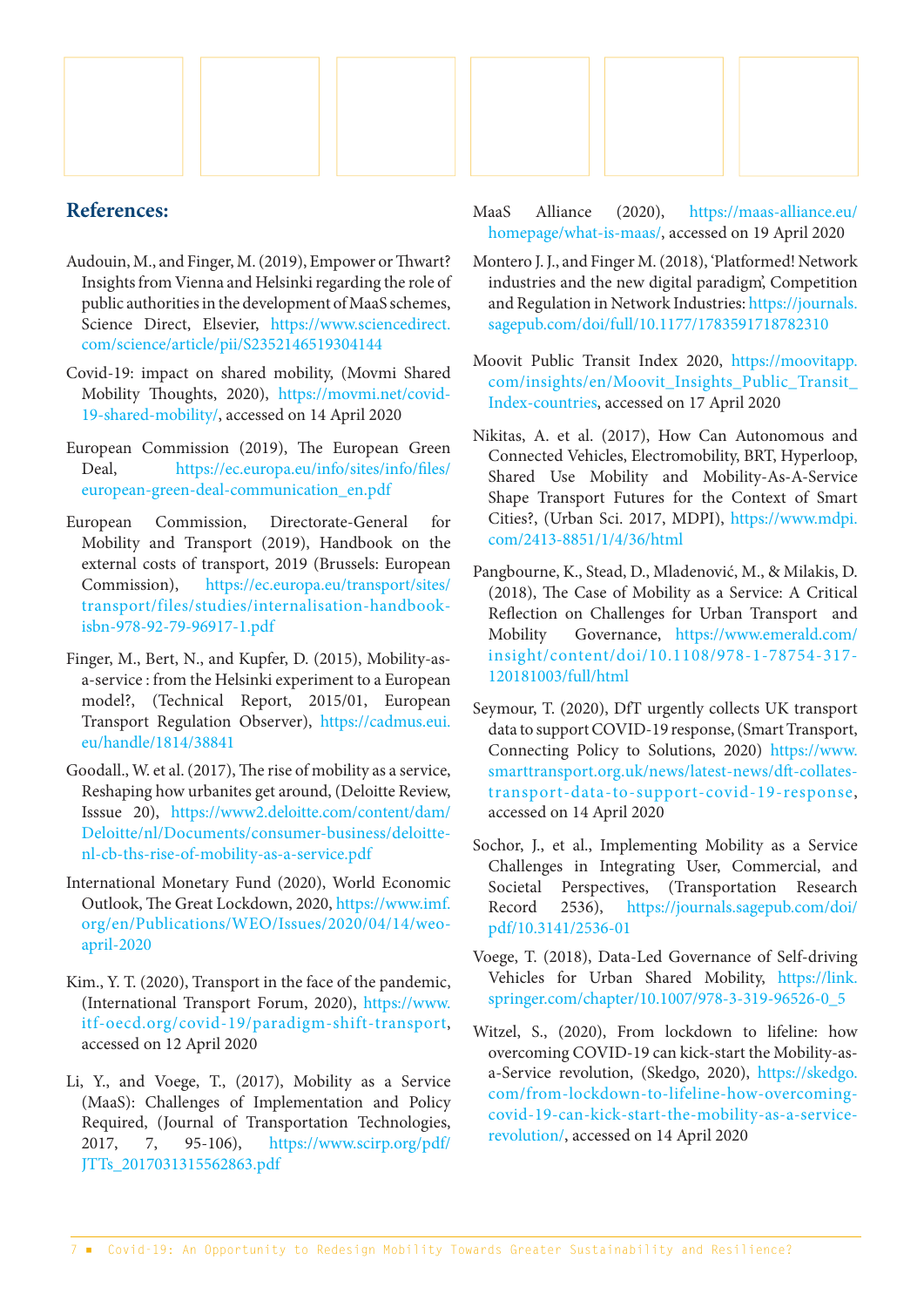

- Audouin, M., and Finger, M. (2019), Empower or Thwart? Insights from Vienna and Helsinki regarding the role of public authorities in the development of MaaS schemes, Science Direct, Elsevier, [https://www.sciencedirect.](https://www.sciencedirect.com/science/article/pii/S2352146519304144) [com/science/article/pii/S2352146519304144](https://www.sciencedirect.com/science/article/pii/S2352146519304144)
- Covid-19: impact on shared mobility, (Movmi Shared Mobility Thoughts, 2020), [https://movmi.net/covid-](https://movmi.net/covid-19-shared-mobility/)[19-shared-mobility/,](https://movmi.net/covid-19-shared-mobility/) accessed on 14 April 2020
- European Commission (2019), The European Green Deal, [https://ec.europa.eu/info/sites/info/files/](https://ec.europa.eu/info/sites/info/files/european-green-deal-communication_en.pdf) [european-green-deal-communication\\_en.pdf](https://ec.europa.eu/info/sites/info/files/european-green-deal-communication_en.pdf)
- European Commission, Directorate-General for Mobility and Transport (2019), Handbook on the external costs of transport, 2019 (Brussels: European Commission), [https://ec.europa.eu/transport/sites/](https://ec.europa.eu/transport/sites/transport/files/studies/internalisation-handbook-isbn-978-92-79-96917-1.pdf) [transport/files/studies/internalisation-handbook](https://ec.europa.eu/transport/sites/transport/files/studies/internalisation-handbook-isbn-978-92-79-96917-1.pdf)[isbn-978-92-79-96917-1.pdf](https://ec.europa.eu/transport/sites/transport/files/studies/internalisation-handbook-isbn-978-92-79-96917-1.pdf)
- Finger, M., Bert, N., and Kupfer, D. (2015), Mobility-asa-service : from the Helsinki experiment to a European model?, (Technical Report, 2015/01, European Transport Regulation Observer), [https://cadmus.eui.](https://cadmus.eui.eu/handle/1814/38841) [eu/handle/1814/38841](https://cadmus.eui.eu/handle/1814/38841)
- Goodall., W. et al. (2017), The rise of mobility as a service, Reshaping how urbanites get around, (Deloitte Review, Isssue 20), [https://www2.deloitte.com/content/dam/](https://www2.deloitte.com/content/dam/Deloitte/nl/Documents/consumer-business/deloitte-nl-cb-ths-rise-of-mobility-as-a-service.pdf) [Deloitte/nl/Documents/consumer-business/deloitte](https://www2.deloitte.com/content/dam/Deloitte/nl/Documents/consumer-business/deloitte-nl-cb-ths-rise-of-mobility-as-a-service.pdf)[nl-cb-ths-rise-of-mobility-as-a-service.pdf](https://www2.deloitte.com/content/dam/Deloitte/nl/Documents/consumer-business/deloitte-nl-cb-ths-rise-of-mobility-as-a-service.pdf)
- International Monetary Fund (2020), World Economic Outlook, The Great Lockdown, 2020, [https://www.imf.](https://www.imf.org/en/Publications/WEO/Issues/2020/04/14/weo-april-2020) [org/en/Publications/WEO/Issues/2020/04/14/weo](https://www.imf.org/en/Publications/WEO/Issues/2020/04/14/weo-april-2020)[april-2020](https://www.imf.org/en/Publications/WEO/Issues/2020/04/14/weo-april-2020)
- Kim., Y. T. (2020), Transport in the face of the pandemic, (International Transport Forum, 2020), [https://www.](https://www.itf-oecd.org/covid-19/paradigm-shift-transport) [itf-oecd.org/covid-19/paradigm-shift-transport](https://www.itf-oecd.org/covid-19/paradigm-shift-transport), accessed on 12 April 2020
- Li, Y., and Voege, T., (2017), Mobility as a Service (MaaS): Challenges of Implementation and Policy Required, (Journal of Transportation Technologies, 2017, 7, 95-106), [https://www.scirp.org/pdf/](https://www.scirp.org/pdf/JTTs_2017031315562863.pdf) [JTTs\\_2017031315562863.pdf](https://www.scirp.org/pdf/JTTs_2017031315562863.pdf)
- MaaS Alliance (2020), [https://maas-alliance.eu/](https://maas-alliance.eu/homepage/what-is-maas/) [homepage/what-is-maas/](https://maas-alliance.eu/homepage/what-is-maas/), accessed on 19 April 2020
- Montero J. J., and Finger M. (2018), 'Platformed! Network industries and the new digital paradigm', Competition and Regulation in Network Industries: [https://journals.](https://journals.sagepub.com/doi/full/10.1177/1783591718782310) [sagepub.com/doi/full/10.1177/1783591718782310](https://journals.sagepub.com/doi/full/10.1177/1783591718782310)
- Moovit Public Transit Index 2020, [https://moovitapp.](https://moovitapp.com/insights/en/Moovit_Insights_Public_Transit_Index-countries) [com/insights/en/Moovit\\_Insights\\_Public\\_Transit\\_](https://moovitapp.com/insights/en/Moovit_Insights_Public_Transit_Index-countries) [Index-countries,](https://moovitapp.com/insights/en/Moovit_Insights_Public_Transit_Index-countries) accessed on 17 April 2020
- Nikitas, A. et al. (2017), How Can Autonomous and Connected Vehicles, Electromobility, BRT, Hyperloop, Shared Use Mobility and Mobility-As-A-Service Shape Transport Futures for the Context of Smart Cities?, (Urban Sci. 2017, MDPI), [https://www.mdpi.](https://www.mdpi.com/2413-8851/1/4/36/html) [com/2413-8851/1/4/36/html](https://www.mdpi.com/2413-8851/1/4/36/html)
- Pangbourne, K., Stead, D., Mladenović, M., & Milakis, D. (2018), The Case of Mobility as a Service: A Critical Reflection on Challenges for Urban Transport and Mobility Governance, [https://www.emerald.com/](https://www.emerald.com/insight/content/doi/10.1108/978-1-78754-317-120181003/full/html) [insight/content/doi/10.1108/978-1-78754-317-](https://www.emerald.com/insight/content/doi/10.1108/978-1-78754-317-120181003/full/html) [120181003/full/html](https://www.emerald.com/insight/content/doi/10.1108/978-1-78754-317-120181003/full/html)
- Seymour, T. (2020), DfT urgently collects UK transport data to support COVID-19 response, (Smart Transport, Connecting Policy to Solutions, 2020) [https://www.](https://www.smarttransport.org.uk/news/latest-news/dft-collates-transport-data-to-support-covid-19-response) [smarttransport.org.uk/news/latest-news/dft-collates](https://www.smarttransport.org.uk/news/latest-news/dft-collates-transport-data-to-support-covid-19-response)[transport-data-to-support-covid-19-response](https://www.smarttransport.org.uk/news/latest-news/dft-collates-transport-data-to-support-covid-19-response), accessed on 14 April 2020
- Sochor, J., et al., Implementing Mobility as a Service Challenges in Integrating User, Commercial, and Societal Perspectives, (Transportation Research Record 2536), [https://journals.sagepub.com/doi/](https://journals.sagepub.com/doi/pdf/10.3141/2536-01) [pdf/10.3141/2536-01](https://journals.sagepub.com/doi/pdf/10.3141/2536-01)
- Voege, T. (2018), Data-Led Governance of Self-driving Vehicles for Urban Shared Mobility, [https://link.](https://link.springer.com/chapter/10.1007/978-3-319-96526-0_5) [springer.com/chapter/10.1007/978-3-319-96526-0\\_5](https://link.springer.com/chapter/10.1007/978-3-319-96526-0_5)
- Witzel, S., (2020), From lockdown to lifeline: how overcoming COVID-19 can kick-start the Mobility-asa-Service revolution, (Skedgo, 2020), [https://skedgo.](https://skedgo.com/from-lockdown-to-lifeline-how-overcoming-covid-19-can-kick-start-the-mobility-as-a-service-revolution/) [com/from-lockdown-to-lifeline-how-overcoming](https://skedgo.com/from-lockdown-to-lifeline-how-overcoming-covid-19-can-kick-start-the-mobility-as-a-service-revolution/)[covid-19-can-kick-start-the-mobility-as-a-service](https://skedgo.com/from-lockdown-to-lifeline-how-overcoming-covid-19-can-kick-start-the-mobility-as-a-service-revolution/)[revolution/,](https://skedgo.com/from-lockdown-to-lifeline-how-overcoming-covid-19-can-kick-start-the-mobility-as-a-service-revolution/) accessed on 14 April 2020